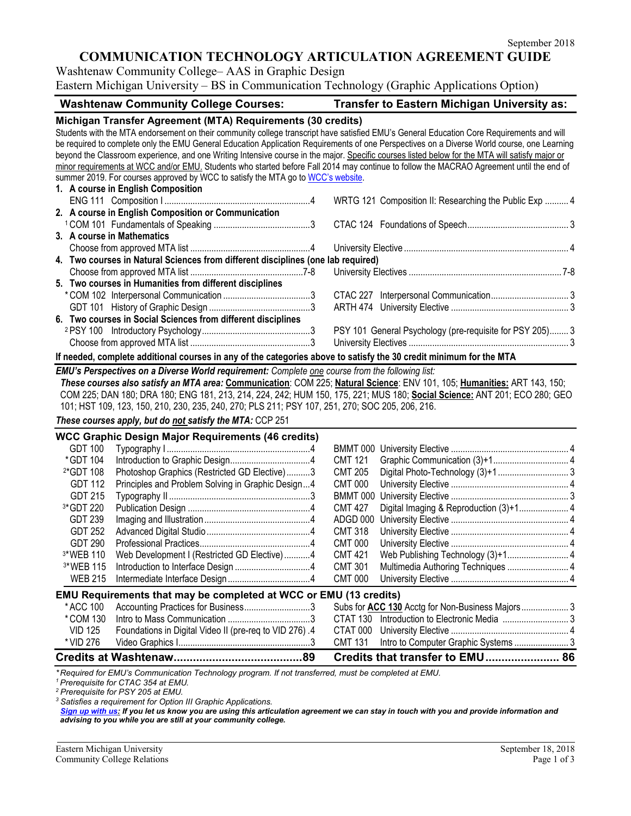## **COMMUNICATION TECHNOLOGY ARTICULATION AGREEMENT GUIDE**

Washtenaw Community College– AAS in Graphic Design

Eastern Michigan University – BS in Communication Technology (Graphic Applications Option)

| <b>Washtenaw Community College Courses:</b>                                                                                                                                                                                                                                                                                                                                                                                                                                                                                                                                                                                                            | Transfer to Eastern Michigan University as:                         |  |  |  |
|--------------------------------------------------------------------------------------------------------------------------------------------------------------------------------------------------------------------------------------------------------------------------------------------------------------------------------------------------------------------------------------------------------------------------------------------------------------------------------------------------------------------------------------------------------------------------------------------------------------------------------------------------------|---------------------------------------------------------------------|--|--|--|
| Michigan Transfer Agreement (MTA) Requirements (30 credits)<br>Students with the MTA endorsement on their community college transcript have satisfied EMU's General Education Core Requirements and will<br>be required to complete only the EMU General Education Application Requirements of one Perspectives on a Diverse World course, one Learning<br>beyond the Classroom experience, and one Writing Intensive course in the major. Specific courses listed below for the MTA will satisfy major or<br>minor requirements at WCC and/or EMU. Students who started before Fall 2014 may continue to follow the MACRAO Agreement until the end of |                                                                     |  |  |  |
| summer 2019. For courses approved by WCC to satisfy the MTA go to WCC's website.                                                                                                                                                                                                                                                                                                                                                                                                                                                                                                                                                                       |                                                                     |  |  |  |
| 1. A course in English Composition                                                                                                                                                                                                                                                                                                                                                                                                                                                                                                                                                                                                                     |                                                                     |  |  |  |
|                                                                                                                                                                                                                                                                                                                                                                                                                                                                                                                                                                                                                                                        | WRTG 121 Composition II: Researching the Public Exp  4              |  |  |  |
| 2. A course in English Composition or Communication                                                                                                                                                                                                                                                                                                                                                                                                                                                                                                                                                                                                    |                                                                     |  |  |  |
|                                                                                                                                                                                                                                                                                                                                                                                                                                                                                                                                                                                                                                                        |                                                                     |  |  |  |
| 3. A course in Mathematics                                                                                                                                                                                                                                                                                                                                                                                                                                                                                                                                                                                                                             |                                                                     |  |  |  |
|                                                                                                                                                                                                                                                                                                                                                                                                                                                                                                                                                                                                                                                        |                                                                     |  |  |  |
| 4. Two courses in Natural Sciences from different disciplines (one lab required)                                                                                                                                                                                                                                                                                                                                                                                                                                                                                                                                                                       |                                                                     |  |  |  |
|                                                                                                                                                                                                                                                                                                                                                                                                                                                                                                                                                                                                                                                        |                                                                     |  |  |  |
| 5. Two courses in Humanities from different disciplines                                                                                                                                                                                                                                                                                                                                                                                                                                                                                                                                                                                                |                                                                     |  |  |  |
|                                                                                                                                                                                                                                                                                                                                                                                                                                                                                                                                                                                                                                                        |                                                                     |  |  |  |
|                                                                                                                                                                                                                                                                                                                                                                                                                                                                                                                                                                                                                                                        |                                                                     |  |  |  |
| 6. Two courses in Social Sciences from different disciplines                                                                                                                                                                                                                                                                                                                                                                                                                                                                                                                                                                                           |                                                                     |  |  |  |
|                                                                                                                                                                                                                                                                                                                                                                                                                                                                                                                                                                                                                                                        | PSY 101 General Psychology (pre-requisite for PSY 205) 3            |  |  |  |
|                                                                                                                                                                                                                                                                                                                                                                                                                                                                                                                                                                                                                                                        |                                                                     |  |  |  |
| If needed, complete additional courses in any of the categories above to satisfy the 30 credit minimum for the MTA                                                                                                                                                                                                                                                                                                                                                                                                                                                                                                                                     |                                                                     |  |  |  |
| EMU's Perspectives on a Diverse World requirement: Complete one course from the following list:                                                                                                                                                                                                                                                                                                                                                                                                                                                                                                                                                        |                                                                     |  |  |  |
| These courses also satisfy an MTA area: Communication: COM 225; Natural Science: ENV 101, 105; Humanities: ART 143, 150;                                                                                                                                                                                                                                                                                                                                                                                                                                                                                                                               |                                                                     |  |  |  |
| COM 225; DAN 180; DRA 180; ENG 181, 213, 214, 224, 242; HUM 150, 175, 221; MUS 180; Social Science: ANT 201; ECO 280; GEO                                                                                                                                                                                                                                                                                                                                                                                                                                                                                                                              |                                                                     |  |  |  |
| 101; HST 109, 123, 150, 210, 230, 235, 240, 270; PLS 211; PSY 107, 251, 270; SOC 205, 206, 216.                                                                                                                                                                                                                                                                                                                                                                                                                                                                                                                                                        |                                                                     |  |  |  |
| These courses apply, but do not satisfy the MTA: CCP 251                                                                                                                                                                                                                                                                                                                                                                                                                                                                                                                                                                                               |                                                                     |  |  |  |
|                                                                                                                                                                                                                                                                                                                                                                                                                                                                                                                                                                                                                                                        |                                                                     |  |  |  |
| <b>WCC Graphic Design Major Requirements (46 credits)</b>                                                                                                                                                                                                                                                                                                                                                                                                                                                                                                                                                                                              |                                                                     |  |  |  |
| <b>GDT 100</b>                                                                                                                                                                                                                                                                                                                                                                                                                                                                                                                                                                                                                                         |                                                                     |  |  |  |
| *GDT 104                                                                                                                                                                                                                                                                                                                                                                                                                                                                                                                                                                                                                                               | <b>CMT 121</b>                                                      |  |  |  |
| <sup>2*</sup> GDT 108<br>Photoshop Graphics (Restricted GD Elective)3                                                                                                                                                                                                                                                                                                                                                                                                                                                                                                                                                                                  | <b>CMT 205</b>                                                      |  |  |  |
| Principles and Problem Solving in Graphic Design4<br><b>GDT 112</b>                                                                                                                                                                                                                                                                                                                                                                                                                                                                                                                                                                                    | <b>CMT 000</b>                                                      |  |  |  |
| <b>GDT 215</b>                                                                                                                                                                                                                                                                                                                                                                                                                                                                                                                                                                                                                                         |                                                                     |  |  |  |
| 3*GDT 220                                                                                                                                                                                                                                                                                                                                                                                                                                                                                                                                                                                                                                              | <b>CMT 427</b><br>Digital Imaging & Reproduction (3)+1 4            |  |  |  |
| <b>GDT 239</b>                                                                                                                                                                                                                                                                                                                                                                                                                                                                                                                                                                                                                                         | ADGD 000                                                            |  |  |  |
| <b>GDT 252</b>                                                                                                                                                                                                                                                                                                                                                                                                                                                                                                                                                                                                                                         | <b>CMT 318</b>                                                      |  |  |  |
| <b>GDT 290</b>                                                                                                                                                                                                                                                                                                                                                                                                                                                                                                                                                                                                                                         | <b>CMT 000</b>                                                      |  |  |  |
| 3*WEB 110<br>Web Development I (Restricted GD Elective)4                                                                                                                                                                                                                                                                                                                                                                                                                                                                                                                                                                                               | Web Publishing Technology (3)+1<br><b>CMT 421</b><br>$\overline{4}$ |  |  |  |
| <sup>3*</sup> WEB 115                                                                                                                                                                                                                                                                                                                                                                                                                                                                                                                                                                                                                                  | <b>CMT 301</b>                                                      |  |  |  |
| <b>WEB 215</b>                                                                                                                                                                                                                                                                                                                                                                                                                                                                                                                                                                                                                                         | <b>CMT 000</b>                                                      |  |  |  |
| EMU Requirements that may be completed at WCC or EMU (13 credits)                                                                                                                                                                                                                                                                                                                                                                                                                                                                                                                                                                                      |                                                                     |  |  |  |
| * ACC 100<br>Accounting Practices for Business3                                                                                                                                                                                                                                                                                                                                                                                                                                                                                                                                                                                                        |                                                                     |  |  |  |
| *COM 130                                                                                                                                                                                                                                                                                                                                                                                                                                                                                                                                                                                                                                               |                                                                     |  |  |  |
| Foundations in Digital Video II (pre-req to VID 276).4<br><b>VID 125</b>                                                                                                                                                                                                                                                                                                                                                                                                                                                                                                                                                                               | CTAT 000                                                            |  |  |  |
| * VID 276                                                                                                                                                                                                                                                                                                                                                                                                                                                                                                                                                                                                                                              | <b>CMT 131</b>                                                      |  |  |  |
|                                                                                                                                                                                                                                                                                                                                                                                                                                                                                                                                                                                                                                                        | Credits that transfer to EMU 86                                     |  |  |  |

*\* Required for EMU's Communication Technology program. If not transferred, must be completed at EMU.*

*<sup>1</sup> Prerequisite for CTAC 354 at EMU.*

*<sup>2</sup> Prerequisite for PSY 205 at EMU.*

*<sup>3</sup> Satisfies a requirement for Option III Graphic Applications.*

*[Sign up with us:](https://www.emich.edu/ccr/articulation-agreements/signup.php) If you let us know you are using this articulation agreement we can stay in touch with you and provide information and advising to you while you are still at your community college.*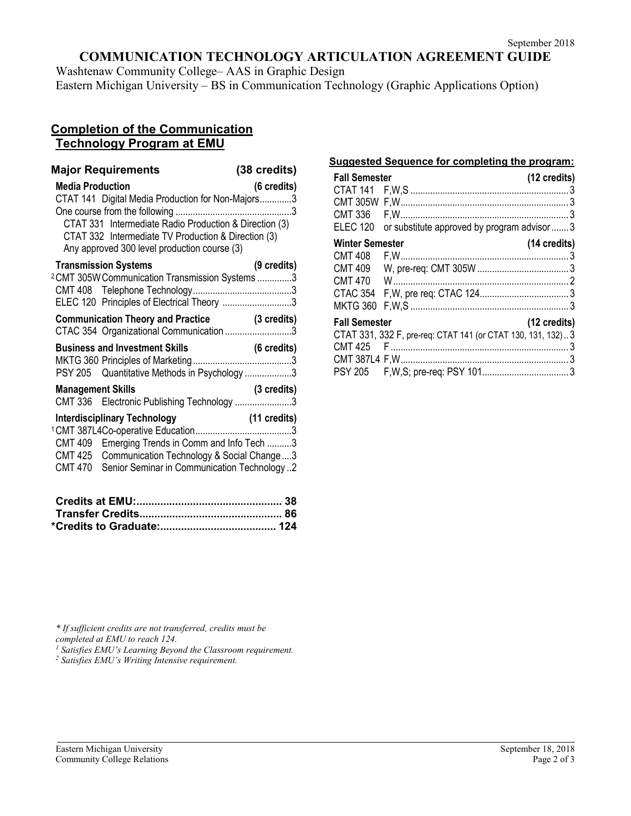# **COMMUNICATION TECHNOLOGY ARTICULATION AGREEMENT GUIDE**

Washtenaw Community College– AAS in Graphic Design Eastern Michigan University – BS in Communication Technology (Graphic Applications Option)

## **Completion of the Communication Technology Program at EMU**

| <b>Major Requirements</b><br><b>Media Production</b><br>CTAT 141 Digital Media Production for Non-Majors3<br>CTAT 331 Intermediate Radio Production & Direction (3) | (38 credits)<br>(6 credits) |
|---------------------------------------------------------------------------------------------------------------------------------------------------------------------|-----------------------------|
| CTAT 332 Intermediate TV Production & Direction (3)<br>Any approved 300 level production course (3)                                                                 |                             |
| <b>Transmission Systems</b><br><sup>2</sup> CMT 305W Communication Transmission Systems 3<br>ELEC 120 Principles of Electrical Theory 3                             | (9 credits)                 |
| <b>Communication Theory and Practice (3 credits)</b><br>CTAC 354 Organizational Communication 3                                                                     |                             |
| PSY 205 Quantitative Methods in Psychology 3                                                                                                                        |                             |
| <b>Management Skills</b><br>CMT 336 Electronic Publishing Technology 3                                                                                              | (3 credits)                 |
| CMT 409 Emerging Trends in Comm and Info Tech 3<br>CMT 425 Communication Technology & Social Change 3<br>Senior Seminar in Communication Technology 2<br>CMT 470    |                             |

### **Suggested Sequence for completing the program:**

| <b>Fall Semester</b>   |                                                             | (12 credits) |
|------------------------|-------------------------------------------------------------|--------------|
|                        |                                                             |              |
|                        |                                                             |              |
| <b>CMT 336</b>         |                                                             |              |
| <b>ELEC 120</b>        | or substitute approved by program advisor3                  |              |
| <b>Winter Semester</b> |                                                             | (14 credits) |
|                        |                                                             |              |
|                        |                                                             |              |
| <b>CMT 470</b>         |                                                             |              |
|                        |                                                             |              |
| <b>MKTG 360</b>        |                                                             |              |
| <b>Fall Semester</b>   |                                                             | (12 credits) |
|                        | CTAT 331, 332 F, pre-req: CTAT 141 (or CTAT 130, 131, 132)3 |              |
|                        |                                                             |              |
|                        |                                                             |              |
|                        |                                                             |              |

*\* If sufficient credits are not transferred, credits must be* 

<sup>1</sup> Satisfies EMU's Learning Beyond the Classroom requirement.

*<sup>2</sup> Satisfies EMU's Writing Intensive requirement.*